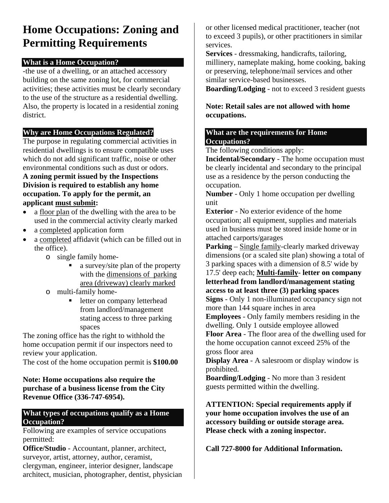# **Home Occupations: Zoning and Permitting Requirements**

### **What is a Home Occupation?**

-the use of a dwelling, or an attached accessory building on the same zoning lot, for commercial activities; these activities must be clearly secondary to the use of the structure as a residential dwelling. Also, the property is located in a residential zoning district.

### **Why are Home Occupations Regulated?**

The purpose in regulating commercial activities in residential dwellings is to ensure compatible uses which do not add significant traffic, noise or other environmental conditions such as dust or odors.

#### **A zoning permit issued by the Inspections Division is required to establish any home occupation. To apply for the permit, an applicant must submit:**

- a floor plan of the dwelling with the area to be used in the commercial activity clearly marked
- a completed application form
- a completed affidavit (which can be filled out in the office).
	- o single family home
		- a survey/site plan of the property with the dimensions of parking area (driveway) clearly marked
	- o multi-family home
		- letter on company letterhead from landlord/management stating access to three parking spaces

The zoning office has the right to withhold the home occupation permit if our inspectors need to review your application.

The cost of the home occupation permit is **\$100.00**

#### **Note: Home occupations also require the purchase of a business license from the City Revenue Office (336-747-6954).**

#### **What types of occupations qualify as a Home Occupation?**

Following are examples of service occupations permitted:

**Office/Studio** - Accountant, planner, architect, surveyor, artist, attorney, author, ceramist, clergyman, engineer, interior designer, landscape architect, musician, photographer, dentist, physician or other licensed medical practitioner, teacher (not to exceed 3 pupils), or other practitioners in similar services.

**Services** - dressmaking, handicrafts, tailoring, millinery, nameplate making, home cooking, baking or preserving, telephone/mail services and other similar service-based businesses.

**Boarding/Lodging** - not to exceed 3 resident guests

**Note: Retail sales are not allowed with home occupations.** 

#### **What are the requirements for Home Occupations?**

The following conditions apply:

**Incidental/Secondary** - The home occupation must be clearly incidental and secondary to the principal use as a residence by the person conducting the occupation.

**Number** - Only 1 home occupation per dwelling unit

**Exterior** - No exterior evidence of the home occupation; all equipment, supplies and materials used in business must be stored inside home or in attached carports/garages

**Parking** – Single family-clearly marked driveway dimensions (or a scaled site plan) showing a total of 3 parking spaces with a dimension of 8.5' wide by

17.5' deep each; **Multi-family- letter on company letterhead from landlord/management stating access to at least three (3) parking spaces Signs** - Only 1 non-illuminated occupancy sign not

more than 144 square inches in area

**Employees** - Only family members residing in the dwelling. Only 1 outside employee allowed **Floor Area** - The floor area of the dwelling used for the home occupation cannot exceed 25% of the

gross floor area

**Display Area** - A salesroom or display window is prohibited.

**Boarding/Lodging** - No more than 3 resident guests permitted within the dwelling.

**ATTENTION: Special requirements apply if your home occupation involves the use of an accessory building or outside storage area. Please check with a zoning inspector.** 

**Call 727-8000 for Additional Information.**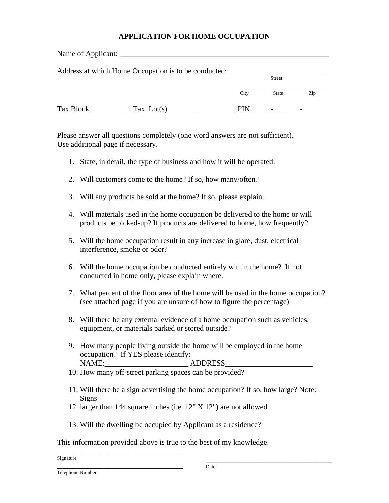#### **APPLICATION FOR HOME OCCUPATION**

|           | Address at which Home Occupation is to be conducted: |               |              |     |
|-----------|------------------------------------------------------|---------------|--------------|-----|
|           |                                                      | <b>Street</b> |              |     |
|           |                                                      | City          | <b>State</b> | Zip |
| Tax Block | Tax $Lot(s)$                                         | <b>PIN</b>    |              |     |

Please answer all questions completely (one word answers are not sufficient). Use additional page if necessary.

- 1. State, in detail, the type of business and how it will be operated.
- 2. Will customers come to the home? If so, how many/often?
- 3. Will any products be sold at the home? If so, please explain.
- 4. Will materials used in the home occupation be delivered to the home or will products be picked-up? If products are delivered to home, how frequently?
- 5. Will the home occupation result in any increase in glare, dust, electrical interference, smoke or odor?
- 6. Will the home occupation be conducted entirely within the home? If not conducted in home only, please explain where.
- 7. What percent of the floor area of the home will be used in the home occupation? (see attached page if you are unsure of how to figure the percentage)
- 8. Will there be any external evidence of a home occupation such as vehicles, equipment, or materials parked or stored outside?
- 9. How many people living outside the home will be employed in the home occupation? If YES please identify: NAME: ADDRESS
- 10. How many off-street parking spaces can be provided?
- 11. Will there be a sign advertising the home occupation? If so, how large? Note: Signs
- 12. larger than 144 square inches (i.e. 12" X 12") are not allowed.
- 13. Will the dwelling be occupied by Applicant as a residence?

This information provided above is true to the best of my knowledge.

\_\_\_\_\_\_\_\_\_\_\_\_\_\_\_\_\_\_\_\_\_\_\_\_\_\_\_\_\_\_\_\_\_ Signature

\_\_\_\_\_\_\_\_\_\_\_\_\_\_\_\_\_\_\_\_\_\_\_\_\_\_\_\_\_\_\_\_\_

\_\_\_\_\_\_\_\_\_\_\_\_\_\_\_\_\_\_\_\_\_\_\_\_\_\_\_\_\_\_\_\_\_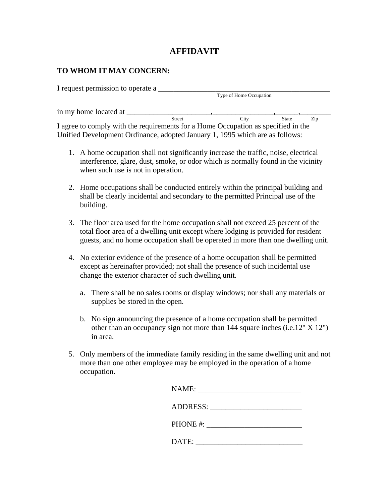### **AFFIDAVIT**

#### **TO WHOM IT MAY CONCERN:**

| I request permission to operate a                                                 |                         |      |       |     |
|-----------------------------------------------------------------------------------|-------------------------|------|-------|-----|
|                                                                                   | Type of Home Occupation |      |       |     |
| in my home located at                                                             |                         |      |       |     |
| <b>Street</b>                                                                     |                         | City | State | Zip |
| I agree to comply with the requirements for a Home Occupation as specified in the |                         |      |       |     |
| Unified Development Ordinance, adopted January 1, 1995 which are as follows:      |                         |      |       |     |

- 1. A home occupation shall not significantly increase the traffic, noise, electrical interference, glare, dust, smoke, or odor which is normally found in the vicinity when such use is not in operation.
- 2. Home occupations shall be conducted entirely within the principal building and shall be clearly incidental and secondary to the permitted Principal use of the building.
- 3. The floor area used for the home occupation shall not exceed 25 percent of the total floor area of a dwelling unit except where lodging is provided for resident guests, and no home occupation shall be operated in more than one dwelling unit.
- 4. No exterior evidence of the presence of a home occupation shall be permitted except as hereinafter provided; not shall the presence of such incidental use change the exterior character of such dwelling unit.
	- a. There shall be no sales rooms or display windows; nor shall any materials or supplies be stored in the open.
	- b. No sign announcing the presence of a home occupation shall be permitted other than an occupancy sign not more than 144 square inches (i.e.12" X 12") in area.
- 5. Only members of the immediate family residing in the same dwelling unit and not more than one other employee may be employed in the operation of a home occupation.

|       | ADDRESS: |
|-------|----------|
|       |          |
| DATE: |          |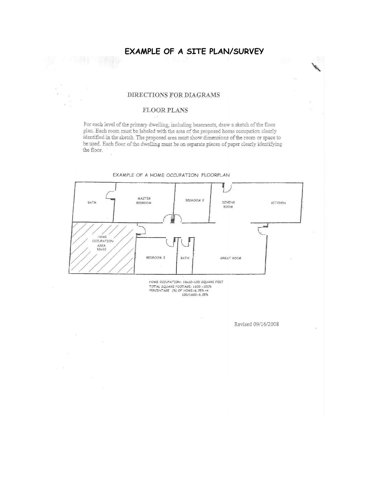#### EXAMPLE OF A SITE PLAN/SURVEY

#### DIRECTIONS FOR DIAGRAMS

#### FLOOR PLANS

For each level of the primary dwelling, including basements, draw a sketch of the floor plan. Each room must be labeled with the area of the proposed home occupation clearly identified in the sketch. The proposed area must show dimensions of the room or space to be used. Each floor of the dwelling must be on separate pieces of paper clearly identifying the floor.



HOME OCCUPATION: 10x10=100 SQUARE FEET TOTAL SQUARE FOOTAGE: 1600 = 100%<br>PERCENTAGE (%) OF HOME=6.25% = x 100/1600=6.25%

Revised 09/16/2008